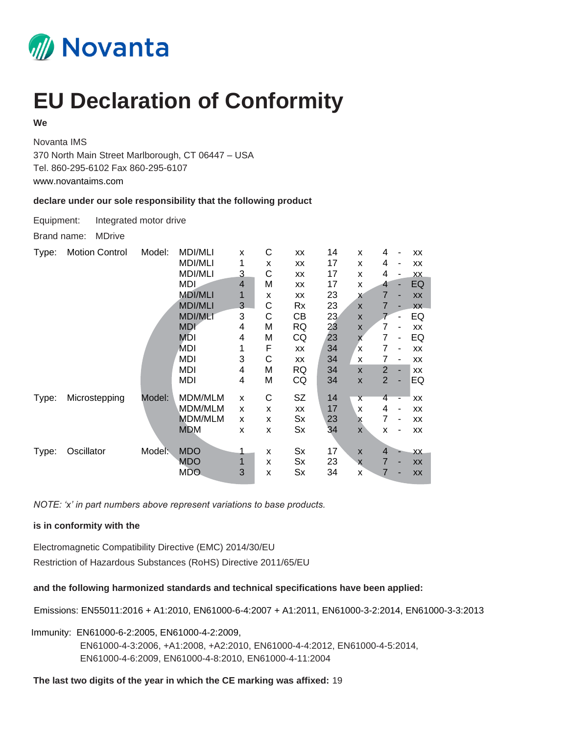

## **EU Declaration of Conformity**

## **We**

Novanta IMS 370 North Main Street Marlborough, CT 06447 – USA Tel. 860-295-6102 Fax 860-295-6107 www.novantaims.com

## **declare under our sole responsibility that the following product**

Equipment: Integrated motor drive

Brand name: MDrive

| Type: | <b>Motion Control</b> | Model: | <b>MDI/MLI</b> | X              | С | XX        | 14 | X                       | 4              |                          | XX  |
|-------|-----------------------|--------|----------------|----------------|---|-----------|----|-------------------------|----------------|--------------------------|-----|
|       |                       |        | MDI/MLI        | 1              | x | XX        | 17 | X                       | 4              | -                        | XX  |
|       |                       |        | <b>MDI/MLI</b> | 3              | С | XX        | 17 | X                       | 4              | $\overline{\phantom{a}}$ | XX  |
|       |                       |        | MDI            | $\overline{4}$ | M | XX        | 17 | x                       | 4              | ٠                        | EQ  |
|       |                       |        | <b>MDI/MLI</b> | 1              | X | XX        | 23 | X                       | $\overline{7}$ | ٠                        | XX  |
|       |                       |        | <b>MDI/MLI</b> | 3              | С | Rx        | 23 | $\mathsf{x}$            | 7              |                          | XX  |
|       |                       |        | <b>MDI/MLI</b> | 3              | С | CВ        | 23 | X                       |                | ۰                        | EQ  |
|       |                       |        | <b>MDI</b>     | 4              | M | RQ        | 23 | X                       | 7              | $\overline{\phantom{a}}$ | XX  |
|       |                       |        | <b>MDI</b>     | 4              | М | CQ        | 23 | X                       | 7              | ٠                        | EQ  |
|       |                       |        | MDI            | 1              | F | XX        | 34 | X                       | 7              | $\overline{\phantom{a}}$ | XX  |
|       |                       |        | MDI            | 3              | С | <b>XX</b> | 34 | X                       | 7              | $\overline{\phantom{a}}$ | XX  |
|       |                       |        | MDI            | 4              | M | RQ        | 34 | $\mathsf{x}$            | 2              |                          | XX  |
|       |                       |        | MDI            | 4              | M | CQ        | 34 | $\mathsf{x}$            | $\overline{2}$ | ٠                        | EQ  |
| Type: | Microstepping         | Model: | MDM/MLM        | X              | C | SZ        | 14 | $\overline{\mathsf{x}}$ | 4              |                          | XX  |
|       |                       |        | MDM/MLM        | X              | X | XX        | 17 | X                       | 4              | $\overline{\phantom{a}}$ | XX  |
|       |                       |        | <b>MDM/MLM</b> | X              | X | Sx        | 23 | x                       | 7              | $\overline{a}$           | XX  |
|       |                       |        | <b>MDM</b>     | X              | X | Sx        | 34 | X                       | X              |                          | XX  |
|       |                       |        |                |                |   |           |    |                         |                |                          |     |
| Type: | Oscillator            | Model: | <b>MDO</b>     | 1              | X | Sx        | 17 | X                       | $\overline{4}$ |                          | XX. |
|       |                       |        | MDO            |                | X | Sx        | 23 | X                       | 7              | -                        | XX  |
|       |                       |        | <b>MDO</b>     | 3              | X | Sx        | 34 | X                       | 7              |                          | XX  |

*NOTE: 'x' in part numbers above represent variations to base products.*

## **is in conformity with the**

Electromagnetic Compatibility Directive (EMC) 2014/30/EU Restriction of Hazardous Substances (RoHS) Directive 2011/65/EU

**and the following harmonized standards and technical specifications have been applied:**

Emissions: EN55011:2016 + A1:2010, EN61000-6-4:2007 + A1:2011, EN61000-3-2:2014, EN61000-3-3:2013

Immunity: EN61000-6-2:2005, EN61000-4-2:2009, EN61000-4-3:2006, +A1:2008, +A2:2010, EN61000-4-4:2012, EN61000-4-5:2014, EN61000-4-6:2009, EN61000-4-8:2010, EN61000-4-11:2004

**The last two digits of the year in which the CE marking was affixed:** 19